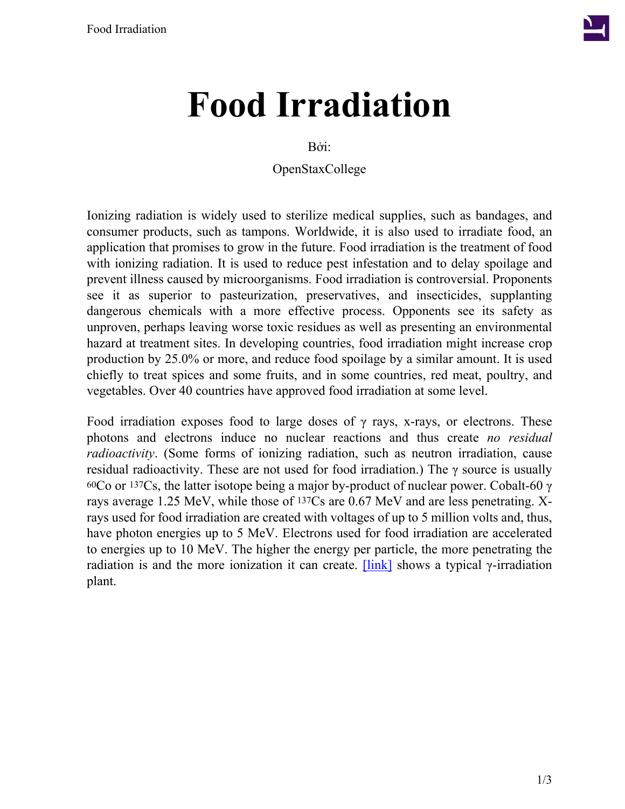

## **Food Irradiation**

Bởi:

OpenStaxCollege

Ionizing radiation is widely used to sterilize medical supplies, such as bandages, and consumer products, such as tampons. Worldwide, it is also used to irradiate food, an application that promises to grow in the future. Food irradiation is the treatment of food with ionizing radiation. It is used to reduce pest infestation and to delay spoilage and prevent illness caused by microorganisms. Food irradiation is controversial. Proponents see it as superior to pasteurization, preservatives, and insecticides, supplanting dangerous chemicals with a more effective process. Opponents see its safety as unproven, perhaps leaving worse toxic residues as well as presenting an environmental hazard at treatment sites. In developing countries, food irradiation might increase crop production by 25.0% or more, and reduce food spoilage by a similar amount. It is used chiefly to treat spices and some fruits, and in some countries, red meat, poultry, and vegetables. Over 40 countries have approved food irradiation at some level.

Food irradiation exposes food to large doses of  $\gamma$  rays, x-rays, or electrons. These photons and electrons induce no nuclear reactions and thus create *no residual radioactivity*. (Some forms of ionizing radiation, such as neutron irradiation, cause residual radioactivity. These are not used for food irradiation.) The γ source is usually 60Co or 137Cs, the latter isotope being a major by-product of nuclear power. Cobalt-60  $\gamma$ rays average 1.25 MeV, while those of 137Cs are 0.67 MeV and are less penetrating. Xrays used for food irradiation are created with voltages of up to 5 million volts and, thus, have photon energies up to 5 MeV. Electrons used for food irradiation are accelerated to energies up to 10 MeV. The higher the energy per particle, the more penetrating the radiation is and the more ionization it can create.  $[\text{link}]$  shows a typical *γ*-irradiation plant.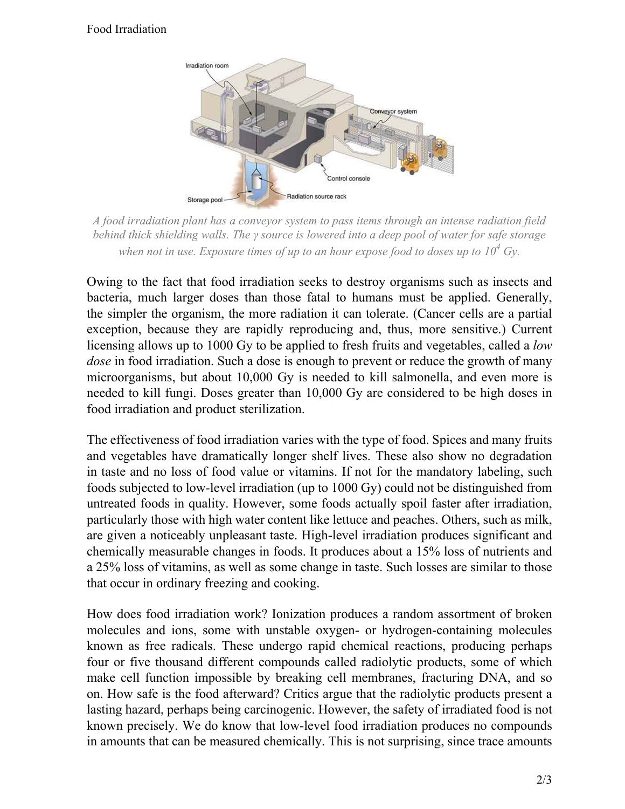## <span id="page-1-0"></span>Food Irradiation



*A food irradiation plant has a conveyor system to pass items through an intense radiation field behind thick shielding walls. The γ source is lowered into a deep pool of water for safe storage when not in use. Exposure times of up to an hour expose food to doses up to*  $10^4$  *Gv.* 

Owing to the fact that food irradiation seeks to destroy organisms such as insects and bacteria, much larger doses than those fatal to humans must be applied. Generally, the simpler the organism, the more radiation it can tolerate. (Cancer cells are a partial exception, because they are rapidly reproducing and, thus, more sensitive.) Current licensing allows up to 1000 Gy to be applied to fresh fruits and vegetables, called a *low dose* in food irradiation. Such a dose is enough to prevent or reduce the growth of many microorganisms, but about 10,000 Gy is needed to kill salmonella, and even more is needed to kill fungi. Doses greater than 10,000 Gy are considered to be high doses in food irradiation and product sterilization.

The effectiveness of food irradiation varies with the type of food. Spices and many fruits and vegetables have dramatically longer shelf lives. These also show no degradation in taste and no loss of food value or vitamins. If not for the mandatory labeling, such foods subjected to low-level irradiation (up to 1000 Gy) could not be distinguished from untreated foods in quality. However, some foods actually spoil faster after irradiation, particularly those with high water content like lettuce and peaches. Others, such as milk, are given a noticeably unpleasant taste. High-level irradiation produces significant and chemically measurable changes in foods. It produces about a 15% loss of nutrients and a 25% loss of vitamins, as well as some change in taste. Such losses are similar to those that occur in ordinary freezing and cooking.

How does food irradiation work? Ionization produces a random assortment of broken molecules and ions, some with unstable oxygen- or hydrogen-containing molecules known as free radicals. These undergo rapid chemical reactions, producing perhaps four or five thousand different compounds called radiolytic products, some of which make cell function impossible by breaking cell membranes, fracturing DNA, and so on. How safe is the food afterward? Critics argue that the radiolytic products present a lasting hazard, perhaps being carcinogenic. However, the safety of irradiated food is not known precisely. We do know that low-level food irradiation produces no compounds in amounts that can be measured chemically. This is not surprising, since trace amounts